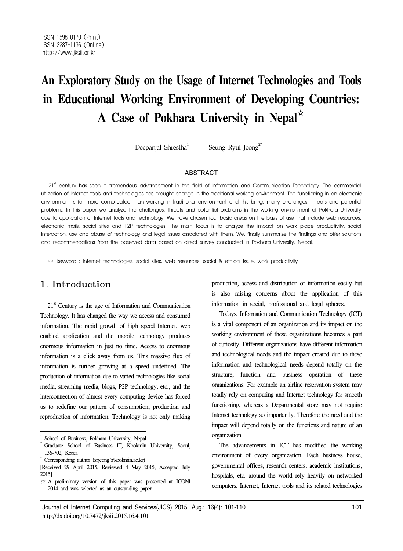# **An Exploratory Study on the Usage of Internet Technologies and Tools in Educational Working Environment of Developing Countries: A Case of Pokhara University in Nepal**☆

Deepanjal Shrestha<sup>1</sup> Seung Ryul Jeong<sup>2\*</sup>

#### ABSTRACT

 $21<sup>st</sup>$  century has seen a tremendous advancement in the field of Information and Communication Technology. The commercial utilization of Internet tools and technologies has brought change in the traditional working environment. The functioning in an electronic environment is far more complicated than working in traditional environment and this brings many challenges, threats and potential problems. In this paper we analyze the challenges, threats and potential problems in the working environment of Pokhara University due to application of Internet tools and technology. We have chosen four basic areas on the basis of use that include web resources, electronic mails, social sites and P2P technologies. The main focus is to analyze the impact on work place productivity, social interaction, use and abuse of technology and legal issues associated with them. We, finally summarize the findings and offer solutions and recommendations from the observed data based on direct survey conducted in Pokhara University, Nepal.

☞ keyword : Internet technologies, social sites, web resources, social & ethical issue, work productivity

# 1. Introduction

 $21<sup>st</sup>$  Century is the age of Information and Communication Technology. It has changed the way we access and consumed information. The rapid growth of high speed Internet, web enabled application and the mobile technology produces enormous information in just no time. Access to enormous information is a click away from us. This massive flux of information is further growing at a speed undefined. The production of information due to varied technologies like social media, streaming media, blogs, P2P technology, etc., and the interconnection of almost every computing device has forced us to redefine our pattern of consumption, production and reproduction of information. Technology is not only making production, access and distribution of information easily but is also raising concerns about the application of this information in social, professional and legal spheres.

Todays, Information and Communication Technology (ICT) is a vital component of an organization and its impact on the working environment of these organizations becomes a part of curiosity. Different organizations have different information and technological needs and the impact created due to these information and technological needs depend totally on the structure, function and business operation of these organizations. For example an airline reservation system may totally rely on computing and Internet technology for smooth functioning, whereas a Departmental store may not require Internet technology so importantly. Therefore the need and the impact will depend totally on the functions and nature of an organization.

The advancements in ICT has modified the working environment of every organization. Each business house, governmental offices, research centers, academic institutions, hospitals, etc. around the world rely heavily on networked computers, Internet, Internet tools and its related technologies

School of Business, Pokhara University, Nepal

<sup>2</sup> Graduate School of Business IT, Kookmin University, Seoul, 136-702, Korea

<sup>\*</sup> Corresponding author (srjeong@kookmin.ac.kr)

<sup>[</sup>Received 29 April 2015, Reviewed 4 May 2015, Accepted July 2015]

<sup>☆</sup> A preliminary version of this paper was presented at ICONI 2014 and was selected as an outstanding paper.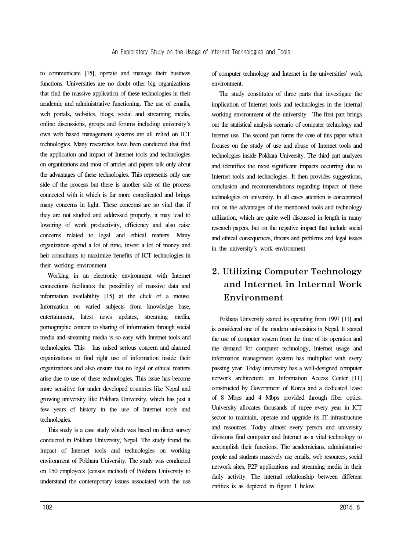to communicate [15], operate and manage their business functions. Universities are no doubt other big organizations that find the massive application of these technologies in their academic and administrative functioning. The use of emails, web portals, websites, blogs, social and streaming media, online discussions, groups and forums including university's own web based management systems are all relied on ICT technologies. Many researches have been conducted that find the application and impact of Internet tools and technologies on organizations and most of articles and papers talk only about the advantages of these technologies. This represents only one side of the process but there is another side of the process connected with it which is far more complicated and brings many concerns in light. These concerns are so vital that if they are not studied and addressed properly, it may lead to lowering of work productivity, efficiency and also raise concerns related to legal and ethical matters. Many organization spend a lot of time, invest a lot of money and heir consultants to maximize benefits of ICT technologies in their working environment.

Working in an electronic environment with Internet connections facilitates the possibility of massive data and information availability [15] at the click of a mouse. Information on varied subjects from knowledge base, entertainment, latest news updates, streaming media, pornographic content to sharing of information through social media and streaming media is so easy with Internet tools and technologies. This has raised serious concern and alarmed organizations to find right use of information inside their organizations and also ensure that no legal or ethical matters arise due to use of these technologies. This issue has become more sensitive for under developed countries like Nepal and growing university like Pokhara University, which has just a few years of history in the use of Internet tools and technologies.

This study is a case study which was based on direct survey conducted in Pokhara University, Nepal. The study found the impact of Internet tools and technologies on working environment of Pokhara University. The study was conducted on 150 employees (census method) of Pokhara University to understand the contemporary issues associated with the use of computer technology and Internet in the universities' work environment.

The study constitutes of three parts that investigate the implication of Internet tools and technologies in the internal working environment of the university. The first part brings out the statistical analysis scenario of computer technology and Internet use. The second part forms the core of this paper which focuses on the study of use and abuse of Internet tools and technologies inside Pokhara University. The third part analyzes and identifies the most significant impacts occurring due to Internet tools and technologies. It then provides suggestions, conclusion and recommendations regarding impact of these technologies on university. In all cases attention is concentrated not on the advantages of the mentioned tools and technology utilization, which are quite well discussed in length in many research papers, but on the negative impact that include social and ethical consequences, threats and problems and legal issues in the university's work environment.

# 2. Utilizing Computer Technology and Internet in Internal Work Environment

Pokhara University started its operating from 1997 [11] and is considered one of the modern universities in Nepal. It started the use of computer system from the time of its operation and the demand for computer technology, Internet usage and information management system has multiplied with every passing year. Today university has a well-designed computer network architecture, an Information Access Center [11] constructed by Government of Korea and a dedicated lease of 8 Mbps and 4 Mbps provided through fiber optics. University allocates thousands of rupee every year in ICT sector to maintain, operate and upgrade its IT infrastructure and resources. Today almost every person and university divisions find computer and Internet as a vital technology to accomplish their functions. The academicians, administrative people and students massively use emails, web resources, social network sites, P2P applications and streaming media in their daily activity. The internal relationship between different entities is as depicted in figure 1 below.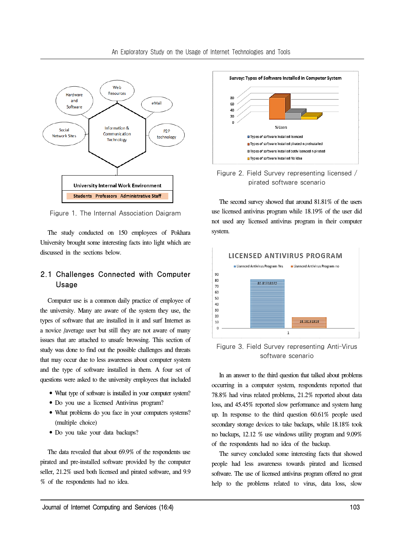

Figure 1. The Internal Association Daigram

The study conducted on 150 employees of Pokhara University brought some interesting facts into light which are discussed in the sections below.

### 2.1 Challenges Connected with Computer Usage

Computer use is a common daily practice of employee of the university. Many are aware of the system they use, the types of software that are installed in it and surf Internet as a novice /average user but still they are not aware of many issues that are attached to unsafe browsing. This section of study was done to find out the possible challenges and threats that may occur due to less awareness about computer system and the type of software installed in them. A four set of questions were asked to the university employees that included

- What type of software is installed in your computer system?
- •Do you use a licensed Antivirus program?
- What problems do you face in your computers systems? (multiple choice)
- •Do you take your data backups?

The data revealed that about 69.9% of the respondents use pirated and pre-installed software provided by the computer seller, 21.2% used both licensed and pirated software, and 9.9 % of the respondents had no idea.



Figure 2. Field Survey representing licensed / pirated software scenario

The second survey showed that around 81.81% of the users use licensed antivirus program while 18.19% of the user did not used any licensed antivirus program in their computer system.



Figure 3. Field Survey representing Anti-Virus software scenario

In an answer to the third question that talked about problems occurring in a computer system, respondents reported that 78.8% had virus related problems, 21.2% reported about data loss, and 45.45% reported slow performance and system hang up. In response to the third question 60.61% people used secondary storage devices to take backups, while 18.18% took no backups, 12.12 % use windows utility program and 9.09% of the respondents had no idea of the backup.

The survey concluded some interesting facts that showed people had less awareness towards pirated and licensed software. The use of licensed antivirus program offered no great help to the problems related to virus, data loss, slow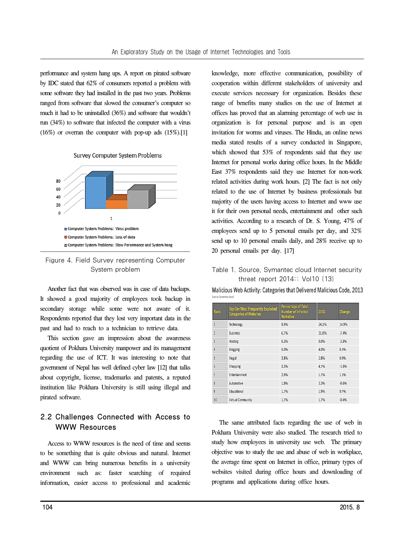performance and system hang ups. A report on pirated software by IDC stated that 62% of consumers reported a problem with some software they had installed in the past two years. Problems ranged from software that slowed the consumer's computer so much it had to be uninstalled (36%) and software that wouldn't run (34%) to software that infected the computer with a virus  $(16\%)$  or overran the computer with pop-up ads  $(15\%)$ .[1]





#### Figure 4. Field Survey representing Computer System problem

Another fact that was observed was in case of data backups. It showed a good majority of employees took backup in secondary storage while some were not aware of it. Respondents reported that they lost very important data in the past and had to reach to a technician to retrieve data.

This section gave an impression about the awareness quotient of Pokhara University manpower and its management regarding the use of ICT. It was interesting to note that government of Nepal has well defined cyber law [12] that talks about copyright, license, trademarks and patents, a reputed institution like Pokhara University is still using illegal and pirated software.

## 2.2 Challenges Connected with Access to WWW Resources

Access to WWW resources is the need of time and seems to be something that is quite obvious and natural. Internet and WWW can bring numerous benefits in a university environment such as: faster searching of required information, easier access to professional and academic

knowledge, more effective communication, possibility of cooperation within different stakeholders of university and execute services necessary for organization. Besides these range of benefits many studies on the use of Internet at offices has proved that an alarming percentage of web use in organization is for personal purpose and is an open invitation for worms and viruses. The Hindu, an online news media stated results of a survey conducted in Singapore, which showed that 53% of respondents said that they use Internet for personal works during office hours. In the Middle East 37% respondents said they use Internet for non-work related activities during work hours. [2] The fact is not only related to the use of Internet by business professionals but majority of the users having access to Internet and www use it for their own personal needs, entertainment and other such activities. According to a research of Dr. S. Young, 47% of employees send up to 5 personal emails per day, and 32% send up to 10 personal emails daily, and 28% receive up to 20 personal emails per day. [17]

#### Table 1. Source, Symantec cloud Internet security threat report 2014:: Vol10 [13]

Malicious Web Activity: Categories that Delivered Malicious Code, 2013

| <b>Rank</b>    | <b>Top-Ten Most Frequently Exploited</b><br><b>Categories of Websites</b> | <b>Percentage of Total</b><br><b>Number of infected</b><br><b>Websites</b> | 2012  | Change  |
|----------------|---------------------------------------------------------------------------|----------------------------------------------------------------------------|-------|---------|
| $\mathbf{1}$   | Technology                                                                | 9.9%                                                                       | 24.1% | 14.9%   |
| $\overline{2}$ | <b>Business</b>                                                           | 6.7%                                                                       | 31.8% | $-7.4%$ |
| 3              | Hosting                                                                   | 5.3%                                                                       | 9.0%  | $-3.8%$ |
| $\overline{4}$ | Blogging                                                                  | 5.0%                                                                       | 4.0%  | 0.5%    |
| $\overline{5}$ | Illegal                                                                   | 3.8%                                                                       | 2.8%  | 0.9%    |
| $\overline{6}$ | Shopping                                                                  | 3.3%                                                                       | 4.7%  | $-1.8%$ |
| $\overline{7}$ | Entertainment                                                             | 2.9%                                                                       | 1.7%  | 1.1%    |
| 8              | Automotive                                                                | 1.8%                                                                       | 3.3%  | $-0.6%$ |
| $\mathbf{Q}$   | Educational                                                               | 1.7%                                                                       | 1.9%  | 0.7%    |
| 10             | <b>Virtual Community</b>                                                  | 1.7%                                                                       | 1.7%  | $-0.4%$ |

The same attributed facts regarding the use of web in Pokhara University were also studied. The research tried to study how employees in university use web. The primary objective was to study the use and abuse of web in workplace, the average time spent on Internet in office, primary types of websites visited during office hours and downloading of programs and applications during office hours.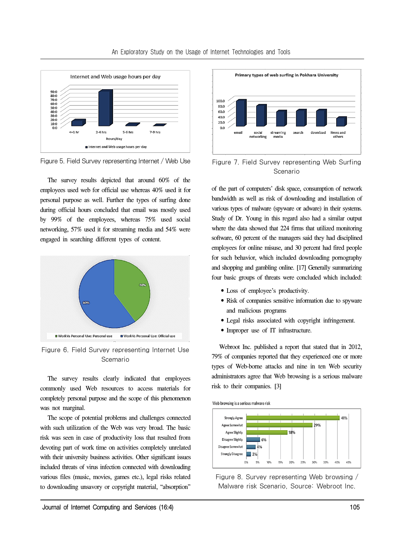

Figure 5. Field Survey representing Internet / Web Use

The survey results depicted that around 60% of the employees used web for official use whereas 40% used it for personal purpose as well. Further the types of surfing done during official hours concluded that email was mostly used by 99% of the employees, whereas 75% used social networking, 57% used it for streaming media and 54% were engaged in searching different types of content.



Figure 6. Field Survey representing Internet Use Scemario

The survey results clearly indicated that employees commonly used Web resources to access materials for completely personal purpose and the scope of this phenomenon was not marginal.

The scope of potential problems and challenges connected with such utilization of the Web was very broad. The basic risk was seen in case of productivity loss that resulted from devoting part of work time on activities completely unrelated with their university business activities. Other significant issues included threats of virus infection connected with downloading various files (music, movies, games etc.), legal risks related to downloading unsavory or copyright material, "absorption"



Figure 7. Field Survey representing Web Surfing Scenario

of the part of computers' disk space, consumption of network bandwidth as well as risk of downloading and installation of various types of malware (spyware or adware) in their systems. Study of Dr. Young in this regard also had a similar output where the data showed that 224 firms that utilized monitoring software, 60 percent of the managers said they had disciplined employees for online misuse, and 30 percent had fired people for such behavior, which included downloading pornography and shopping and gambling online. [17] Generally summarizing four basic groups of threats were concluded which included:

- •Loss of employee's productivity.
- •Risk of companies sensitive information due to spyware and malicious programs
- •Legal risks associated with copyright infringement.
- •Improper use of IT infrastructure.

Webroot Inc. published a report that stated that in 2012, 79% of companies reported that they experienced one or more types of Web-borne attacks and nine in ten Web security administrators agree that Web browsing is a serious malware risk to their companies. [3]

Web browsing is a serious malware risk



Figure 8. Survey representing Web browsing / Malware risk Scenario, Source: Webroot Inc.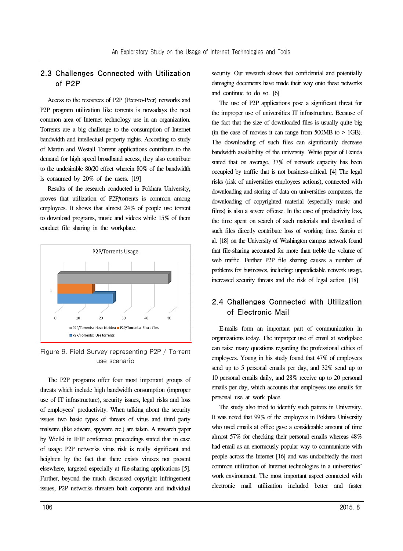#### 2.3 Challenges Connected with Utilization of P2P

Access to the resources of P2P (Peer-to-Peer) networks and P2P program utilization like torrents is nowadays the next common area of Internet technology use in an organization. Torrents are a big challenge to the consumption of Internet bandwidth and intellectual property rights. According to study of Martin and Westall Torrent applications contribute to the demand for high speed broadband access, they also contribute to the undesirable 80/20 effect wherein 80% of the bandwidth is consumed by 20% of the users. [19]

Results of the research conducted in Pokhara University, proves that utilization of P2P/torrents is common among employees. It shows that almost 24% of people use torrent to download programs, music and videos while 15% of them conduct file sharing in the workplace.



Figure 9. Field Survey representing P2P / Torrent use scenario

The P2P programs offer four most important groups of threats which include high bandwidth consumption (improper use of IT infrastructure), security issues, legal risks and loss of employees' productivity. When talking about the security issues two basic types of threats of virus and third party malware (like adware, spyware etc.) are taken. A research paper by Wielki in IFIP conference proceedings stated that in case of usage P2P networks virus risk is really significant and heighten by the fact that there exists viruses not present elsewhere, targeted especially at file-sharing applications [5]. Further, beyond the much discussed copyright infringement issues, P2P networks threaten both corporate and individual

security. Our research shows that confidential and potentially damaging documents have made their way onto these networks and continue to do so. [6]

The use of P2P applications pose a significant threat for the improper use of universities IT infrastructure. Because of the fact that the size of downloaded files is usually quite big (in the case of movies it can range from 500MB to > 1GB). The downloading of such files can significantly decrease bandwidth availability of the university. White paper of Exinda stated that on average, 37% of network capacity has been occupied by traffic that is not business-critical. [4] The legal risks (risk of universities employees actions), connected with downloading and storing of data on universities computers, the downloading of copyrighted material (especially music and films) is also a severe offense. In the case of productivity loss, the time spent on search of such materials and download of such files directly contribute loss of working time. Saroiu et al. [18] on the University of Washington campus network found that file-sharing accounted for more than treble the volume of web traffic. Further P2P file sharing causes a number of problems for businesses, including: unpredictable network usage, increased security threats and the risk of legal action. [18]

## 2.4 Challenges Connected with Utilization of Electronic Mail

E-mails form an important part of communication in organizations today. The improper use of email at workplace can raise many questions regarding the professional ethics of employees. Young in his study found that 47% of employees send up to 5 personal emails per day, and 32% send up to 10 personal emails daily, and 28% receive up to 20 personal emails per day, which accounts that employees use emails for personal use at work place.

The study also tried to identify such patters in University. It was noted that 99% of the employees in Pokhara University who used emails at office gave a considerable amount of time almost 57% for checking their personal emails whereas 48% had email as an enormously popular way to communicate with people across the Internet [16] and was undoubtedly the most common utilization of Internet technologies in a universities' work environment. The most important aspect connected with electronic mail utilization included better and faster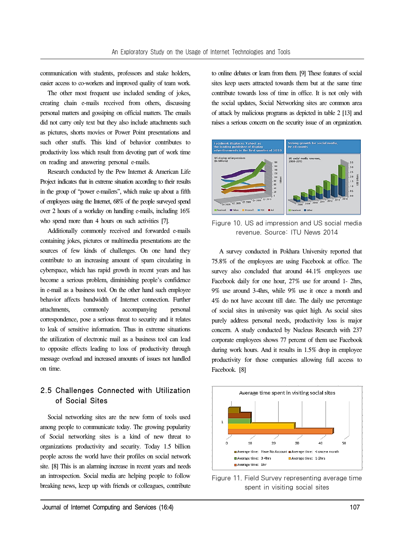communication with students, professors and stake holders, easier access to co-workers and improved quality of team work.

The other most frequent use included sending of jokes, creating chain e-mails received from others, discussing personal matters and gossiping on official matters. The emails did not carry only text but they also include attachments such as pictures, shorts movies or Power Point presentations and such other stuffs. This kind of behavior contributes to productivity loss which result from devoting part of work time on reading and answering personal e-mails.

Research conducted by the Pew Internet & American Life Project indicates that in extreme situation according to their results in the group of "power e-mailers", which make up about a fifth of employees using the Internet, 68% of the people surveyed spend over 2 hours of a workday on handling e-mails, including 16% who spend more than 4 hours on such activities [7].

Additionally commonly received and forwarded e-mails containing jokes, pictures or multimedia presentations are the sources of few kinds of challenges. On one hand they contribute to an increasing amount of spam circulating in cyberspace, which has rapid growth in recent years and has become a serious problem, diminishing people's confidence in e-mail as a business tool. On the other hand such employee behavior affects bandwidth of Internet connection. Further attachments, commonly accompanying personal correspondence, pose a serious threat to security and it relates to leak of sensitive information. Thus in extreme situations the utilization of electronic mail as a business tool can lead to opposite effects leading to loss of productivity through message overload and increased amounts of issues not handled on time.

## 2.5 Challenges Connected with Utilization of Social Sites

Social networking sites are the new form of tools used among people to communicate today. The growing popularity of Social networking sites is a kind of new threat to organizations productivity and security. Today 1.5 billion people across the world have their profiles on social network site. [8] This is an alarming increase in recent years and needs an introspection. Social media are helping people to follow breaking news, keep up with friends or colleagues, contribute

to online debates or learn from them. [9] These features of social sites keep users attracted towards them but at the same time contribute towards loss of time in office. It is not only with the social updates, Social Networking sites are common area of attack by malicious programs as depicted in table 2 [13] and raises a serious concern on the security issue of an organization.



Figure 10. US ad impression and US social media revenue. Source: ITU News 2014

A survey conducted in Pokhara University reported that 75.8% of the employees are using Facebook at office. The survey also concluded that around  $44.1\%$  employees use Facebook daily for one hour, 27% use for around 1- 2hrs, 9% use around 3-4hrs, while 9% use it once a month and 4% do not have account till date. The daily use percentage of social sites in university was quiet high. As social sites purely address personal needs, productivity loss is major concern. A study conducted by Nucleus Research with 237 corporate employees shows 77 percent of them use Facebook during work hours. And it results in 1.5% drop in employee productivity for those companies allowing full access to Facebook. [8]



Figure 11. Field Survey representing average time spent in visiting social sites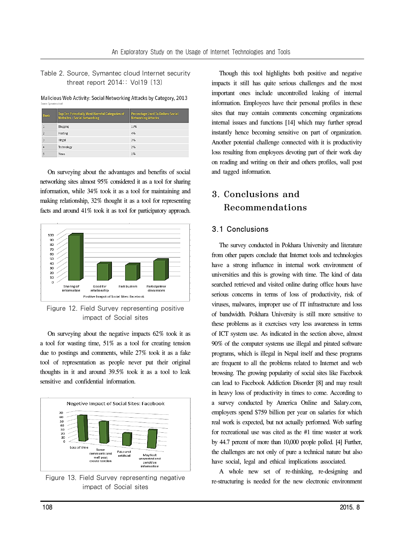Table 2. Source, Symantec cloud Internet security threat report 2014:: Vol19 [13]

Malicious Web Activity: Social Networking Attacks by Category, 2013

| Rank           | <b>Top-Ten Potentially Most Harmful Categories of</b><br><b>Websites - Social Networking</b> | <b>Percentage Used To Deliver Social</b><br><b>Networking Attacks</b> |
|----------------|----------------------------------------------------------------------------------------------|-----------------------------------------------------------------------|
| 1              | Blogging                                                                                     | 17%                                                                   |
| $\overline{2}$ | Hosting                                                                                      | 4%                                                                    |
| 3              | Illegal                                                                                      | 3%                                                                    |
| 4              | Technology                                                                                   | 2%                                                                    |
| 5              | News                                                                                         | 1%                                                                    |

On surveying about the advantages and benefits of social networking sites almost 95% considered it as a tool for sharing information, while 34% took it as a tool for maintaining and making relationship, 32% thought it as a tool for representing facts and around 41% took it as tool for participatory approach.



Figure 12. Field Survey representing positive impact of Social sites

On surveying about the negative impacts 62% took it as a tool for wasting time, 51% as a tool for creating tension due to postings and comments, while 27% took it as a fake tool of representation as people never put their original thoughts in it and around 39.5% took it as a tool to leak sensitive and confidential information.



Figure 13. Field Survey representing negative impact of Social sites

Though this tool highlights both positive and negative impacts it still has quite serious challenges and the most important ones include uncontrolled leaking of internal information. Employees have their personal profiles in these sites that may contain comments concerning organizations internal issues and functions [14] which may further spread instantly hence becoming sensitive on part of organization. Another potential challenge connected with it is productivity loss resulting from employees devoting part of their work day on reading and writing on their and others profiles, wall post and tagged information.

# 3. Conclusions and Recommendations

#### 3.1 Conclusions

The survey conducted in Pokhara University and literature from other papers conclude that Internet tools and technologies have a strong influence in internal work environment of universities and this is growing with time. The kind of data searched retrieved and visited online during office hours have serious concerns in terms of loss of productivity, risk of viruses, malwares, improper use of IT infrastructure and loss of bandwidth. Pokhara University is still more sensitive to these problems as it exercises very less awareness in terms of ICT system use. As indicated in the section above, almost 90% of the computer systems use illegal and pirated software programs, which is illegal in Nepal itself and these programs are frequent to all the problems related to Internet and web browsing. The growing popularity of social sites like Facebook can lead to Facebook Addiction Disorder [8] and may result in heavy loss of productivity in times to come. According to a survey conducted by America Online and Salary.com, employers spend \$759 billion per year on salaries for which real work is expected, but not actually performed. Web surfing for recreational use was cited as the #1 time waster at work by 44.7 percent of more than 10,000 people polled. [4] Further, the challenges are not only of pure a technical nature but also have social, legal and ethical implications associated.

A whole new set of re-thinking, re-designing and re-structuring is needed for the new electronic environment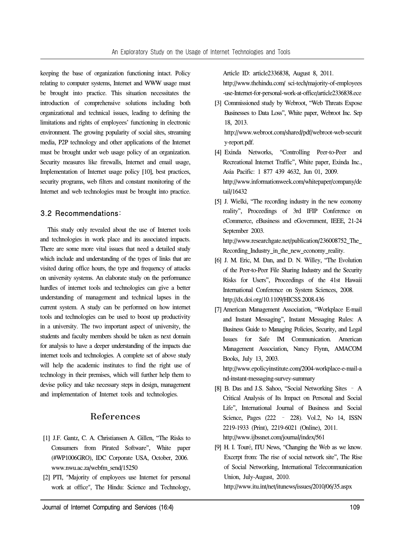keeping the base of organization functioning intact. Policy relating to computer systems, Internet and WWW usage must be brought into practice. This situation necessitates the introduction of comprehensive solutions including both organizational and technical issues, leading to defining the limitations and rights of employees' functioning in electronic environment. The growing popularity of social sites, streaming media, P2P technology and other applications of the Internet must be brought under web usage policy of an organization. Security measures like firewalls, Internet and email usage, Implementation of Internet usage policy [10], best practices, security programs, web filters and constant monitoring of the Internet and web technologies must be brought into practice.

#### 3.2 Recommendations:

This study only revealed about the use of Internet tools and technologies in work place and its associated impacts. There are some more vital issues that need a detailed study which include and understanding of the types of links that are visited during office hours, the type and frequency of attacks on university systems. An elaborate study on the performance hurdles of internet tools and technologies can give a better understanding of management and technical lapses in the current system. A study can be performed on how internet tools and technologies can be used to boost up productivity in a university. The two important aspect of university, the students and faculty members should be taken as next domain for analysis to have a deeper understanding of the impacts due internet tools and technologies. A complete set of above study will help the academic institutes to find the right use of technology in their premises, which will further help them to devise policy and take necessary steps in design, management and implementation of Internet tools and technologies.

### References

- [1] J.F. Gantz, C. A. Christiansen A. Gillen, "The Risks to Consumers from Pirated Software", White paper (#WP1006GRO), IDC Corporate USA, October, 2006. www.nwu.ac.za/webfm\_send/15250
- [2] PTI, "Majority of employees use Internet for personal work at office", The Hindu: Science and Technology,

Article ID: article2336838, August 8, 2011.

http://www.thehindu.com/ sci-tech/majority-of-employees -use-Internet-for-personal-work-at-office/article2336838.ece

- [3] Commissioned study by Webroot, "Web Threats Expose Businesses to Data Loss", White paper, Webroot Inc. Sep 18, 2013. http://www.webroot.com/shared/pdf/webroot-web-securit y-report.pdf.
- [4] Exinda Networks, "Controlling Peer-to-Peer and Recreational Internet Traffic", White paper, Exinda Inc., Asia Pacific: 1 877 439 4632, Jun 01, 2009. http://www.informationweek.com/whitepaper/company/de tail/16432
- [5] J. Wielki, "The recording industry in the new economy reality", Proceedings of 3rd IFIP Conference on eCommerce, eBusiness and eGovernment, IEEE, 21-24 September 2003. http://www.researchgate.net/publication/236008752\_The Recording Industry in the new economy reality.
- [6] J. M. Eric, M. Dan, and D. N. Willey, "The Evolution of the Peer-to-Peer File Sharing Industry and the Security Risks for Users", Proceedings of the 41st Hawaii International Conference on System Sciences, 2008. http://dx.doi.org/10.1109/HICSS.2008.436
- [7] American Management Association, "Workplace E-mail and Instant Messaging", Instant Messaging Rules: A Business Guide to Managing Policies, Security, and Legal Issues for Safe IM Communication. American Management Association, Nancy Flynn, AMACOM Books, July 13, 2003.

http://www.epolicyinstitute.com/2004-workplace-e-mail-a nd-instant-messaging-survey-summary

- [8] B. Das and J.S. Sahoo, "Social Networking Sites A Critical Analysis of Its Impact on Personal and Social Life", International Journal of Business and Social Science, Pages (222 – 228). Vol.2, No 14, ISSN 2219-1933 (Print), 2219-6021 (Online), 2011. http://www.ijbssnet.com/journal/index/561
- [9] H. I. Touré, ITU News, "Changing the Web as we know. Excerpt from: The rise of social network site", The Rise of Social Networking, International Telecommunication Union, July-August, 2010.

http://www.itu.int/net/itunews/issues/2010/06/35.aspx